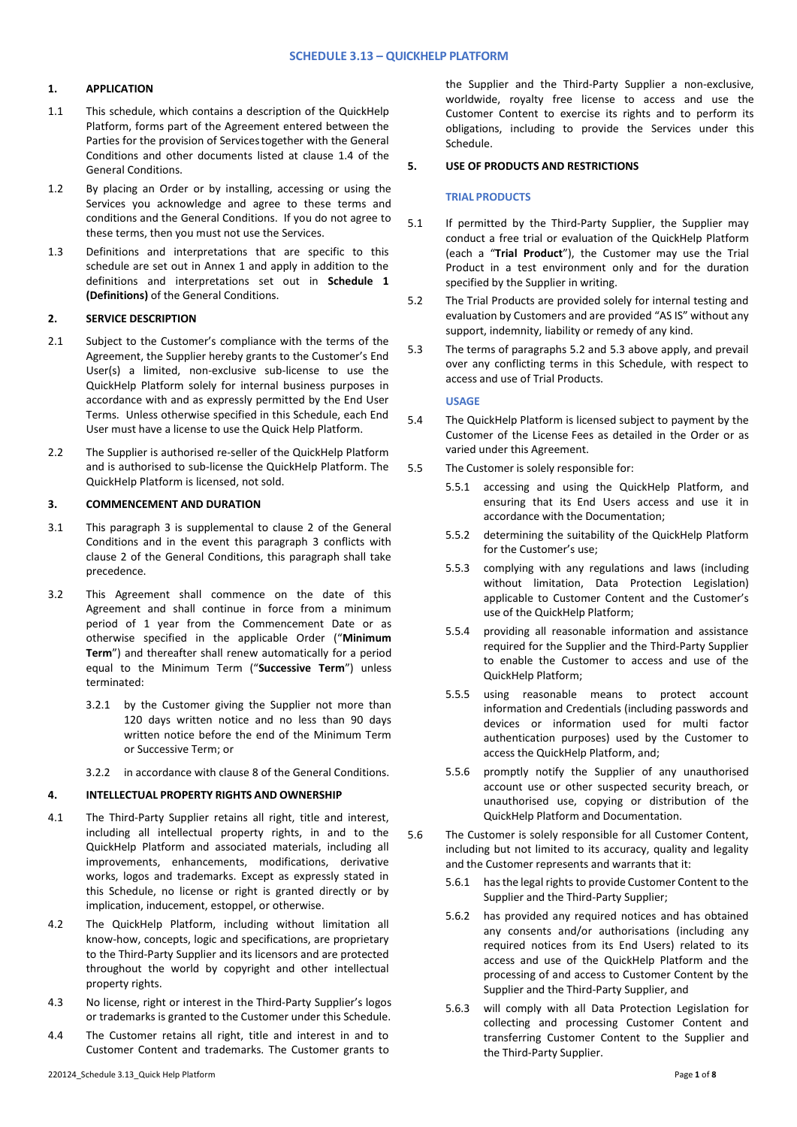# **1. APPLICATION**

- 1.1 This schedule, which contains a description of the QuickHelp Platform, forms part of the Agreement entered between the Parties for the provision of Servicestogether with the General Conditions and other documents listed at clause 1.4 of the General Conditions.
- 1.2 By placing an Order or by installing, accessing or using the Services you acknowledge and agree to these terms and conditions and the General Conditions. If you do not agree to these terms, then you must not use the Services.
- 1.3 Definitions and interpretations that are specific to this schedule are set out in Annex 1 and apply in addition to the definitions and interpretations set out in **Schedule 1 (Definitions)** of the General Conditions.

# **2. SERVICE DESCRIPTION**

- 2.1 Subject to the Customer's compliance with the terms of the Agreement, the Supplier hereby grants to the Customer's End User(s) a limited, non-exclusive sub-license to use the QuickHelp Platform solely for internal business purposes in accordance with and as expressly permitted by the End User Terms. Unless otherwise specified in this Schedule, each End User must have a license to use the Quick Help Platform.
- 2.2 The Supplier is authorised re-seller of the QuickHelp Platform and is authorised to sub-license the QuickHelp Platform. The QuickHelp Platform is licensed, not sold.

# **3. COMMENCEMENT AND DURATION**

- 3.1 This paragraph 3 is supplemental to clause 2 of the General Conditions and in the event this paragraph 3 conflicts with clause 2 of the General Conditions, this paragraph shall take precedence.
- 3.2 This Agreement shall commence on the date of this Agreement and shall continue in force from a minimum period of 1 year from the Commencement Date or as otherwise specified in the applicable Order ("**Minimum Term**") and thereafter shall renew automatically for a period equal to the Minimum Term ("**Successive Term**") unless terminated:
	- 3.2.1 by the Customer giving the Supplier not more than 120 days written notice and no less than 90 days written notice before the end of the Minimum Term or Successive Term; or
	- 3.2.2 in accordance with clause 8 of the General Conditions.

## **4. INTELLECTUAL PROPERTY RIGHTS AND OWNERSHIP**

- 4.1 The Third-Party Supplier retains all right, title and interest, including all intellectual property rights, in and to the QuickHelp Platform and associated materials, including all improvements, enhancements, modifications, derivative works, logos and trademarks. Except as expressly stated in this Schedule, no license or right is granted directly or by implication, inducement, estoppel, or otherwise.
- 4.2 The QuickHelp Platform, including without limitation all know-how, concepts, logic and specifications, are proprietary to the Third-Party Supplier and its licensors and are protected throughout the world by copyright and other intellectual property rights.
- 4.3 No license, right or interest in the Third-Party Supplier's logos or trademarks is granted to the Customer under this Schedule.
- 4.4 The Customer retains all right, title and interest in and to Customer Content and trademarks. The Customer grants to

the Supplier and the Third-Party Supplier a non-exclusive, worldwide, royalty free license to access and use the Customer Content to exercise its rights and to perform its obligations, including to provide the Services under this Schedule.

## **5. USE OF PRODUCTS AND RESTRICTIONS**

## **TRIAL PRODUCTS**

- 5.1 If permitted by the Third-Party Supplier, the Supplier may conduct a free trial or evaluation of the QuickHelp Platform (each a "**Trial Product**"), the Customer may use the Trial Product in a test environment only and for the duration specified by the Supplier in writing.
- 5.2 The Trial Products are provided solely for internal testing and evaluation by Customers and are provided "AS IS" without any support, indemnity, liability or remedy of any kind.
- 5.3 The terms of paragraphs 5.2 and 5.3 above apply, and prevail over any conflicting terms in this Schedule, with respect to access and use of Trial Products.

## **USAGE**

- 5.4 The QuickHelp Platform is licensed subject to payment by the Customer of the License Fees as detailed in the Order or as varied under this Agreement.
- 5.5 The Customer is solely responsible for:
	- 5.5.1 accessing and using the QuickHelp Platform, and ensuring that its End Users access and use it in accordance with the Documentation;
	- 5.5.2 determining the suitability of the QuickHelp Platform for the Customer's use;
	- 5.5.3 complying with any regulations and laws (including without limitation, Data Protection Legislation) applicable to Customer Content and the Customer's use of the QuickHelp Platform;
	- 5.5.4 providing all reasonable information and assistance required for the Supplier and the Third-Party Supplier to enable the Customer to access and use of the QuickHelp Platform;
	- 5.5.5 using reasonable means to protect account information and Credentials (including passwords and devices or information used for multi factor authentication purposes) used by the Customer to access the QuickHelp Platform, and;
	- 5.5.6 promptly notify the Supplier of any unauthorised account use or other suspected security breach, or unauthorised use, copying or distribution of the QuickHelp Platform and Documentation.
- 5.6 The Customer is solely responsible for all Customer Content, including but not limited to its accuracy, quality and legality and the Customer represents and warrants that it:
	- 5.6.1 hasthe legal rights to provide Customer Content to the Supplier and the Third-Party Supplier;
	- 5.6.2 has provided any required notices and has obtained any consents and/or authorisations (including any required notices from its End Users) related to its access and use of the QuickHelp Platform and the processing of and access to Customer Content by the Supplier and the Third-Party Supplier, and
	- 5.6.3 will comply with all Data Protection Legislation for collecting and processing Customer Content and transferring Customer Content to the Supplier and the Third-Party Supplier.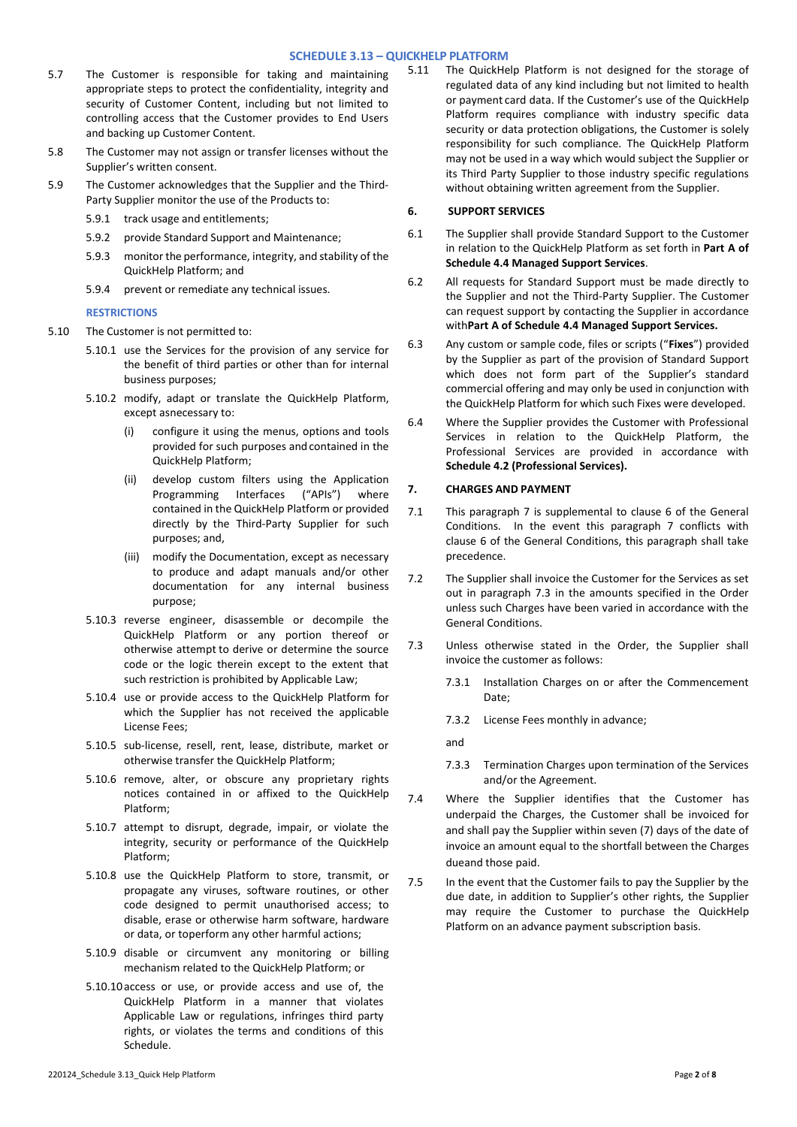# **SCHEDULE 3.13 – QUICKHELP PLATFORM**

- 5.7 The Customer is responsible for taking and maintaining appropriate steps to protect the confidentiality, integrity and security of Customer Content, including but not limited to controlling access that the Customer provides to End Users and backing up Customer Content.
- 5.8 The Customer may not assign or transfer licenses without the Supplier's written consent.
- 5.9 The Customer acknowledges that the Supplier and the Third-Party Supplier monitor the use of the Products to:
	- 5.9.1 track usage and entitlements;
	- 5.9.2 provide Standard Support and Maintenance;
	- 5.9.3 monitor the performance, integrity, and stability of the QuickHelp Platform; and
	- 5.9.4 prevent or remediate any technical issues.

### **RESTRICTIONS**

- 5.10 The Customer is not permitted to:
	- 5.10.1 use the Services for the provision of any service for the benefit of third parties or other than for internal business purposes;
	- 5.10.2 modify, adapt or translate the QuickHelp Platform, except asnecessary to:
		- configure it using the menus, options and tools provided for such purposes and contained in the QuickHelp Platform;
		- (ii) develop custom filters using the Application Programming Interfaces ("APIs") where contained in the QuickHelp Platform or provided directly by the Third-Party Supplier for such purposes; and,
		- (iii) modify the Documentation, except as necessary to produce and adapt manuals and/or other documentation for any internal business purpose;
	- 5.10.3 reverse engineer, disassemble or decompile the QuickHelp Platform or any portion thereof or otherwise attempt to derive or determine the source code or the logic therein except to the extent that such restriction is prohibited by Applicable Law;
	- 5.10.4 use or provide access to the QuickHelp Platform for which the Supplier has not received the applicable License Fees;
	- 5.10.5 sub-license, resell, rent, lease, distribute, market or otherwise transfer the QuickHelp Platform;
	- 5.10.6 remove, alter, or obscure any proprietary rights notices contained in or affixed to the QuickHelp Platform;
	- 5.10.7 attempt to disrupt, degrade, impair, or violate the integrity, security or performance of the QuickHelp Platform;
	- 5.10.8 use the QuickHelp Platform to store, transmit, or propagate any viruses, software routines, or other code designed to permit unauthorised access; to disable, erase or otherwise harm software, hardware or data, or toperform any other harmful actions;
	- 5.10.9 disable or circumvent any monitoring or billing mechanism related to the QuickHelp Platform; or
	- 5.10.10access or use, or provide access and use of, the QuickHelp Platform in a manner that violates Applicable Law or regulations, infringes third party rights, or violates the terms and conditions of this Schedule.

The QuickHelp Platform is not designed for the storage of regulated data of any kind including but not limited to health or payment card data. If the Customer's use of the QuickHelp Platform requires compliance with industry specific data security or data protection obligations, the Customer is solely responsibility for such compliance. The QuickHelp Platform may not be used in a way which would subject the Supplier or its Third Party Supplier to those industry specific regulations without obtaining written agreement from the Supplier.

## **6. SUPPORT SERVICES**

- 6.1 The Supplier shall provide Standard Support to the Customer in relation to the QuickHelp Platform as set forth in **Part A of Schedule 4.4 Managed Support Services**.
- 6.2 All requests for Standard Support must be made directly to the Supplier and not the Third-Party Supplier. The Customer can request support by contacting the Supplier in accordance with**Part A of Schedule 4.4 Managed Support Services.**
- 6.3 Any custom or sample code, files or scripts ("**Fixes**") provided by the Supplier as part of the provision of Standard Support which does not form part of the Supplier's standard commercial offering and may only be used in conjunction with the QuickHelp Platform for which such Fixes were developed.
- 6.4 Where the Supplier provides the Customer with Professional Services in relation to the QuickHelp Platform, the Professional Services are provided in accordance with **Schedule 4.2 (Professional Services).**

## **7. CHARGES AND PAYMENT**

- 7.1 This paragraph 7 is supplemental to clause 6 of the General Conditions. In the event this paragraph 7 conflicts with clause 6 of the General Conditions, this paragraph shall take precedence.
- 7.2 The Supplier shall invoice the Customer for the Services as set out in paragraph 7.3 in the amounts specified in the Order unless such Charges have been varied in accordance with the General Conditions.
- 7.3 Unless otherwise stated in the Order, the Supplier shall invoice the customer as follows:
	- 7.3.1 Installation Charges on or after the Commencement Date;
	- 7.3.2 License Fees monthly in advance;

and

- 7.3.3 Termination Charges upon termination of the Services and/or the Agreement.
- 7.4 Where the Supplier identifies that the Customer has underpaid the Charges, the Customer shall be invoiced for and shall pay the Supplier within seven (7) days of the date of invoice an amount equal to the shortfall between the Charges dueand those paid.
- 7.5 In the event that the Customer fails to pay the Supplier by the due date, in addition to Supplier's other rights, the Supplier may require the Customer to purchase the QuickHelp Platform on an advance payment subscription basis.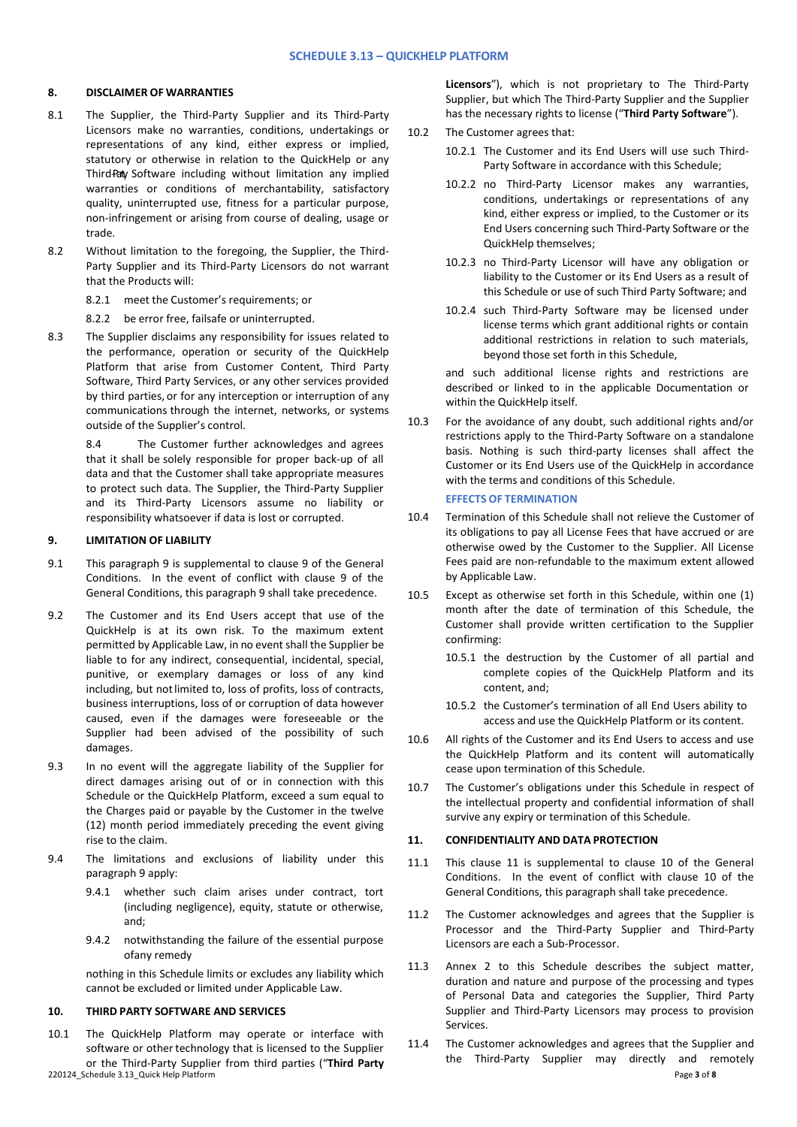#### **8. DISCLAIMER OF WARRANTIES**

- 8.1 The Supplier, the Third-Party Supplier and its Third-Party Licensors make no warranties, conditions, undertakings or representations of any kind, either express or implied, statutory or otherwise in relation to the QuickHelp or any Third-Paty Software including without limitation any implied warranties or conditions of merchantability, satisfactory quality, uninterrupted use, fitness for a particular purpose, non-infringement or arising from course of dealing, usage or trade.
- 8.2 Without limitation to the foregoing, the Supplier, the Third-Party Supplier and its Third-Party Licensors do not warrant that the Products will:
	- 8.2.1 meet the Customer's requirements; or
	- 8.2.2 be error free, failsafe or uninterrupted.
- 8.3 The Supplier disclaims any responsibility for issues related to the performance, operation or security of the QuickHelp Platform that arise from Customer Content, Third Party Software, Third Party Services, or any other services provided by third parties, or for any interception or interruption of any communications through the internet, networks, or systems outside of the Supplier's control.

8.4 The Customer further acknowledges and agrees that it shall be solely responsible for proper back-up of all data and that the Customer shall take appropriate measures to protect such data. The Supplier, the Third-Party Supplier and its Third-Party Licensors assume no liability or responsibility whatsoever if data is lost or corrupted.

### **9. LIMITATION OF LIABILITY**

- 9.1 This paragraph 9 is supplemental to clause 9 of the General Conditions. In the event of conflict with clause 9 of the General Conditions, this paragraph 9 shall take precedence.
- 9.2 The Customer and its End Users accept that use of the QuickHelp is at its own risk. To the maximum extent permitted by Applicable Law, in no event shall the Supplier be liable to for any indirect, consequential, incidental, special, punitive, or exemplary damages or loss of any kind including, but not limited to, loss of profits, loss of contracts, business interruptions, loss of or corruption of data however caused, even if the damages were foreseeable or the Supplier had been advised of the possibility of such damages.
- 9.3 In no event will the aggregate liability of the Supplier for direct damages arising out of or in connection with this Schedule or the QuickHelp Platform, exceed a sum equal to the Charges paid or payable by the Customer in the twelve (12) month period immediately preceding the event giving rise to the claim.
- 9.4 The limitations and exclusions of liability under this paragraph 9 apply:
	- 9.4.1 whether such claim arises under contract, tort (including negligence), equity, statute or otherwise, and;
	- 9.4.2 notwithstanding the failure of the essential purpose ofany remedy

nothing in this Schedule limits or excludes any liability which cannot be excluded or limited under Applicable Law.

## **10. THIRD PARTY SOFTWARE AND SERVICES**

10.1 The QuickHelp Platform may operate or interface with software or other technology that is licensed to the Supplier or the Third-Party Supplier from third parties ("**Third Party** **Licensors**"), which is not proprietary to The Third-Party Supplier, but which The Third-Party Supplier and the Supplier has the necessary rights to license ("**Third Party Software**").

- 10.2 The Customer agrees that:
	- 10.2.1 The Customer and its End Users will use such Third-Party Software in accordance with this Schedule;
	- 10.2.2 no Third-Party Licensor makes any warranties, conditions, undertakings or representations of any kind, either express or implied, to the Customer or its End Users concerning such Third-Party Software or the QuickHelp themselves;
	- 10.2.3 no Third-Party Licensor will have any obligation or liability to the Customer or its End Users as a result of this Schedule or use of such Third Party Software; and
	- 10.2.4 such Third-Party Software may be licensed under license terms which grant additional rights or contain additional restrictions in relation to such materials, beyond those set forth in this Schedule,

and such additional license rights and restrictions are described or linked to in the applicable Documentation or within the QuickHelp itself.

10.3 For the avoidance of any doubt, such additional rights and/or restrictions apply to the Third-Party Software on a standalone basis. Nothing is such third-party licenses shall affect the Customer or its End Users use of the QuickHelp in accordance with the terms and conditions of this Schedule.

#### **EFFECTS OF TERMINATION**

- 10.4 Termination of this Schedule shall not relieve the Customer of its obligations to pay all License Fees that have accrued or are otherwise owed by the Customer to the Supplier. All License Fees paid are non-refundable to the maximum extent allowed by Applicable Law.
- 10.5 Except as otherwise set forth in this Schedule, within one (1) month after the date of termination of this Schedule, the Customer shall provide written certification to the Supplier confirming:
	- 10.5.1 the destruction by the Customer of all partial and complete copies of the QuickHelp Platform and its content, and;
	- 10.5.2 the Customer's termination of all End Users ability to access and use the QuickHelp Platform or its content.
- 10.6 All rights of the Customer and its End Users to access and use the QuickHelp Platform and its content will automatically cease upon termination of this Schedule.
- 10.7 The Customer's obligations under this Schedule in respect of the intellectual property and confidential information of shall survive any expiry or termination of this Schedule.

#### **11. CONFIDENTIALITY AND DATA PROTECTION**

- 11.1 This clause 11 is supplemental to clause 10 of the General Conditions. In the event of conflict with clause 10 of the General Conditions, this paragraph shall take precedence.
- 11.2 The Customer acknowledges and agrees that the Supplier is Processor and the Third-Party Supplier and Third-Party Licensors are each a Sub-Processor.
- 11.3 Annex 2 to this Schedule describes the subject matter, duration and nature and purpose of the processing and types of Personal Data and categories the Supplier, Third Party Supplier and Third-Party Licensors may process to provision Services.
- 220124\_Schedule 3.13\_Quick Help Platform Page **3** of **8** 11.4 The Customer acknowledges and agrees that the Supplier and the Third-Party Supplier may directly and remotely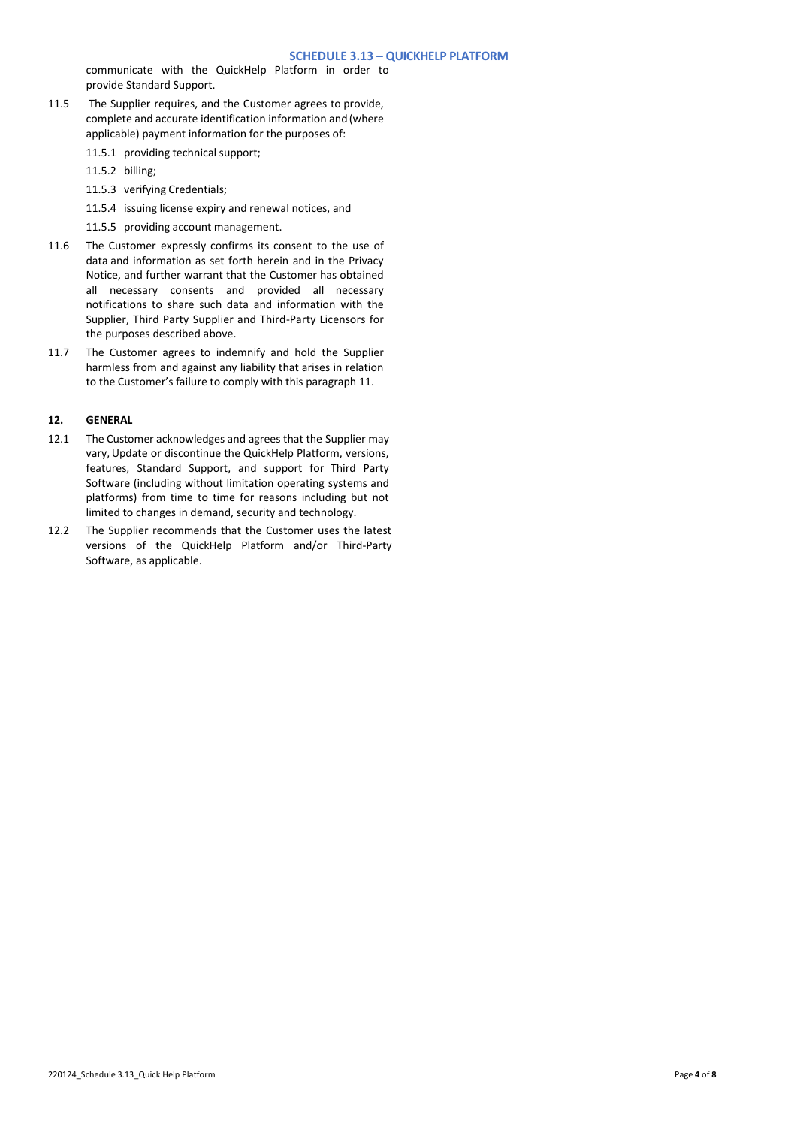communicate with the QuickHelp Platform in order to provide Standard Support.

- 11.5 The Supplier requires, and the Customer agrees to provide, complete and accurate identification information and(where applicable) payment information for the purposes of:
	- 11.5.1 providing technical support;
	- 11.5.2 billing;
	- 11.5.3 verifying Credentials;
	- 11.5.4 issuing license expiry and renewal notices, and
	- 11.5.5 providing account management.
- 11.6 The Customer expressly confirms its consent to the use of data and information as set forth herein and in the Privacy Notice, and further warrant that the Customer has obtained all necessary consents and provided all necessary notifications to share such data and information with the Supplier, Third Party Supplier and Third-Party Licensors for the purposes described above.
- 11.7 The Customer agrees to indemnify and hold the Supplier harmless from and against any liability that arises in relation to the Customer's failure to comply with this paragraph 11.

## **12. GENERAL**

- 12.1 The Customer acknowledges and agrees that the Supplier may vary, Update or discontinue the QuickHelp Platform, versions, features, Standard Support, and support for Third Party Software (including without limitation operating systems and platforms) from time to time for reasons including but not limited to changes in demand, security and technology.
- 12.2 The Supplier recommends that the Customer uses the latest versions of the QuickHelp Platform and/or Third-Party Software, as applicable.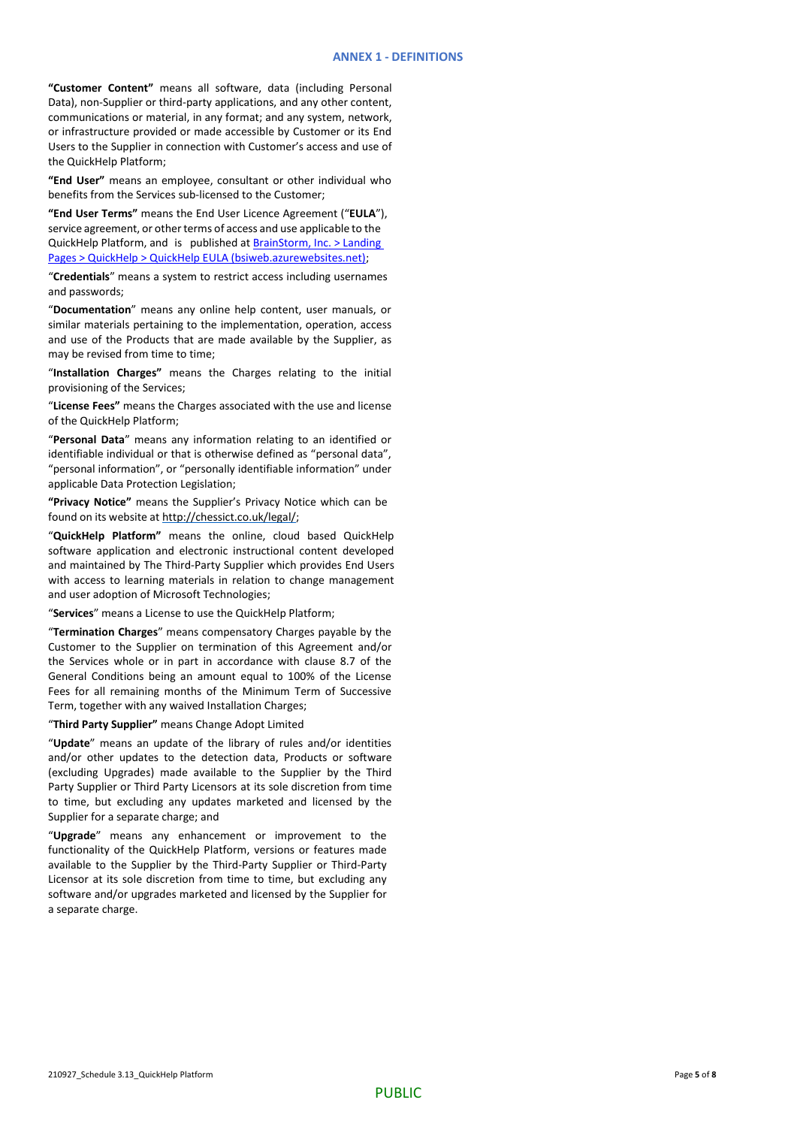**"Customer Content"** means all software, data (including Personal Data), non-Supplier or third-party applications, and any other content, communications or material, in any format; and any system, network, or infrastructure provided or made accessible by Customer or its End Users to the Supplier in connection with Customer's access and use of the QuickHelp Platform;

**"End User"** means an employee, consultant or other individual who benefits from the Services sub-licensed to the Customer;

**"End User Terms"** means the End User Licence Agreement ("**EULA**"), service agreement, or other terms of access and use applicable to the QuickHelp Platform, and is published at [BrainStorm, Inc. > Landing](https://eur03.safelinks.protection.outlook.com/?url=http%3A%2F%2Fbsiweb.azurewebsites.net%2Flanding-pages%2Fquickhelp%2Fquickhelp-eula&data=04%7C01%7Cjessicaeaton%40ChessICT.co.uk%7Ce09a20b996894dbc09bf08d9978cb699%7Cb59cf9cb1b57401482a1df65994c0c69%7C0%7C0%7C637707452891364330%7CUnknown%7CTWFpbGZsb3d8eyJWIjoiMC4wLjAwMDAiLCJQIjoiV2luMzIiLCJBTiI6Ik1haWwiLCJXVCI6Mn0%3D%7C1000&sdata=0FARRjXZroGlOrJExyz3bpEK9tSdS%2B0yHfJVUEb3ZEE%3D&reserved=0)  [Pages > QuickHelp > QuickHelp EULA \(bsiweb.azurewebsites.net\);](https://eur03.safelinks.protection.outlook.com/?url=http%3A%2F%2Fbsiweb.azurewebsites.net%2Flanding-pages%2Fquickhelp%2Fquickhelp-eula&data=04%7C01%7Cjessicaeaton%40ChessICT.co.uk%7Ce09a20b996894dbc09bf08d9978cb699%7Cb59cf9cb1b57401482a1df65994c0c69%7C0%7C0%7C637707452891364330%7CUnknown%7CTWFpbGZsb3d8eyJWIjoiMC4wLjAwMDAiLCJQIjoiV2luMzIiLCJBTiI6Ik1haWwiLCJXVCI6Mn0%3D%7C1000&sdata=0FARRjXZroGlOrJExyz3bpEK9tSdS%2B0yHfJVUEb3ZEE%3D&reserved=0)

"**Credentials**" means a system to restrict access including usernames and passwords;

"**Documentation**" means any online help content, user manuals, or similar materials pertaining to the implementation, operation, access and use of the Products that are made available by the Supplier, as may be revised from time to time;

"**Installation Charges"** means the Charges relating to the initial provisioning of the Services;

"**License Fees"** means the Charges associated with the use and license of the QuickHelp Platform;

"**Personal Data**" means any information relating to an identified or identifiable individual or that is otherwise defined as "personal data", "personal information", or "personally identifiable information" under applicable Data Protection Legislation;

**"Privacy Notice"** means the Supplier's Privacy Notice which can be found on its website at [http://chessict.co.uk/legal/;](http://chessict.co.uk/legal/)

"**QuickHelp Platform"** means the online, cloud based QuickHelp software application and electronic instructional content developed and maintained by The Third-Party Supplier which provides End Users with access to learning materials in relation to change management and user adoption of Microsoft Technologies;

"**Services**" means a License to use the QuickHelp Platform;

"**Termination Charges**" means compensatory Charges payable by the Customer to the Supplier on termination of this Agreement and/or the Services whole or in part in accordance with clause 8.7 of the General Conditions being an amount equal to 100% of the License Fees for all remaining months of the Minimum Term of Successive Term, together with any waived Installation Charges;

"**Third Party Supplier"** means Change Adopt Limited

"**Update**" means an update of the library of rules and/or identities and/or other updates to the detection data, Products or software (excluding Upgrades) made available to the Supplier by the Third Party Supplier or Third Party Licensors at its sole discretion from time to time, but excluding any updates marketed and licensed by the Supplier for a separate charge; and

"**Upgrade**" means any enhancement or improvement to the functionality of the QuickHelp Platform, versions or features made available to the Supplier by the Third-Party Supplier or Third-Party Licensor at its sole discretion from time to time, but excluding any software and/or upgrades marketed and licensed by the Supplier for a separate charge.